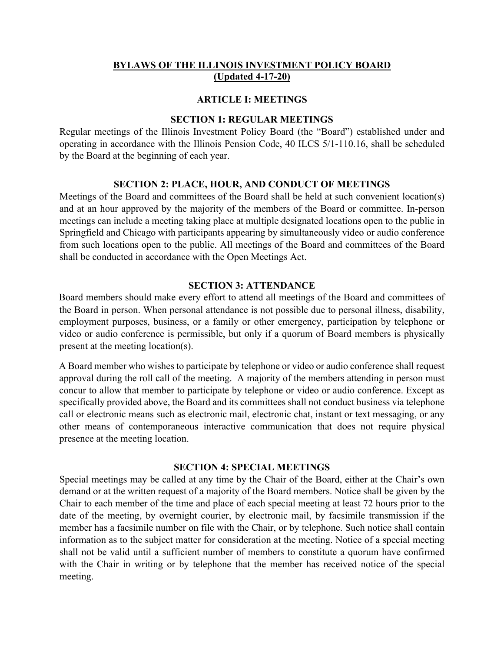# **BYLAWS OF THE ILLINOIS INVESTMENT POLICY BOARD (Updated 4-17-20)**

#### **ARTICLE I: MEETINGS**

#### **SECTION 1: REGULAR MEETINGS**

Regular meetings of the Illinois Investment Policy Board (the "Board") established under and operating in accordance with the Illinois Pension Code, 40 ILCS 5/1-110.16, shall be scheduled by the Board at the beginning of each year.

#### **SECTION 2: PLACE, HOUR, AND CONDUCT OF MEETINGS**

Meetings of the Board and committees of the Board shall be held at such convenient location(s) and at an hour approved by the majority of the members of the Board or committee. In-person meetings can include a meeting taking place at multiple designated locations open to the public in Springfield and Chicago with participants appearing by simultaneously video or audio conference from such locations open to the public. All meetings of the Board and committees of the Board shall be conducted in accordance with the Open Meetings Act.

## **SECTION 3: ATTENDANCE**

Board members should make every effort to attend all meetings of the Board and committees of the Board in person. When personal attendance is not possible due to personal illness, disability, employment purposes, business, or a family or other emergency, participation by telephone or video or audio conference is permissible, but only if a quorum of Board members is physically present at the meeting location(s).

A Board member who wishes to participate by telephone or video or audio conference shall request approval during the roll call of the meeting. A majority of the members attending in person must concur to allow that member to participate by telephone or video or audio conference. Except as specifically provided above, the Board and its committees shall not conduct business via telephone call or electronic means such as electronic mail, electronic chat, instant or text messaging, or any other means of contemporaneous interactive communication that does not require physical presence at the meeting location.

#### **SECTION 4: SPECIAL MEETINGS**

Special meetings may be called at any time by the Chair of the Board, either at the Chair's own demand or at the written request of a majority of the Board members. Notice shall be given by the Chair to each member of the time and place of each special meeting at least 72 hours prior to the date of the meeting, by overnight courier, by electronic mail, by facsimile transmission if the member has a facsimile number on file with the Chair, or by telephone. Such notice shall contain information as to the subject matter for consideration at the meeting. Notice of a special meeting shall not be valid until a sufficient number of members to constitute a quorum have confirmed with the Chair in writing or by telephone that the member has received notice of the special meeting.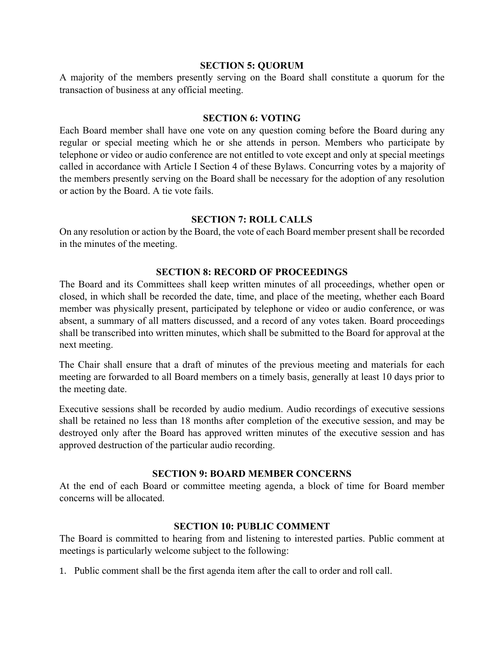### **SECTION 5: QUORUM**

A majority of the members presently serving on the Board shall constitute a quorum for the transaction of business at any official meeting.

## **SECTION 6: VOTING**

Each Board member shall have one vote on any question coming before the Board during any regular or special meeting which he or she attends in person. Members who participate by telephone or video or audio conference are not entitled to vote except and only at special meetings called in accordance with Article I Section 4 of these Bylaws. Concurring votes by a majority of the members presently serving on the Board shall be necessary for the adoption of any resolution or action by the Board. A tie vote fails.

## **SECTION 7: ROLL CALLS**

On any resolution or action by the Board, the vote of each Board member present shall be recorded in the minutes of the meeting.

# **SECTION 8: RECORD OF PROCEEDINGS**

The Board and its Committees shall keep written minutes of all proceedings, whether open or closed, in which shall be recorded the date, time, and place of the meeting, whether each Board member was physically present, participated by telephone or video or audio conference, or was absent, a summary of all matters discussed, and a record of any votes taken. Board proceedings shall be transcribed into written minutes, which shall be submitted to the Board for approval at the next meeting.

The Chair shall ensure that a draft of minutes of the previous meeting and materials for each meeting are forwarded to all Board members on a timely basis, generally at least 10 days prior to the meeting date.

Executive sessions shall be recorded by audio medium. Audio recordings of executive sessions shall be retained no less than 18 months after completion of the executive session, and may be destroyed only after the Board has approved written minutes of the executive session and has approved destruction of the particular audio recording.

# **SECTION 9: BOARD MEMBER CONCERNS**

At the end of each Board or committee meeting agenda, a block of time for Board member concerns will be allocated.

# **SECTION 10: PUBLIC COMMENT**

The Board is committed to hearing from and listening to interested parties. Public comment at meetings is particularly welcome subject to the following:

1. Public comment shall be the first agenda item after the call to order and roll call.